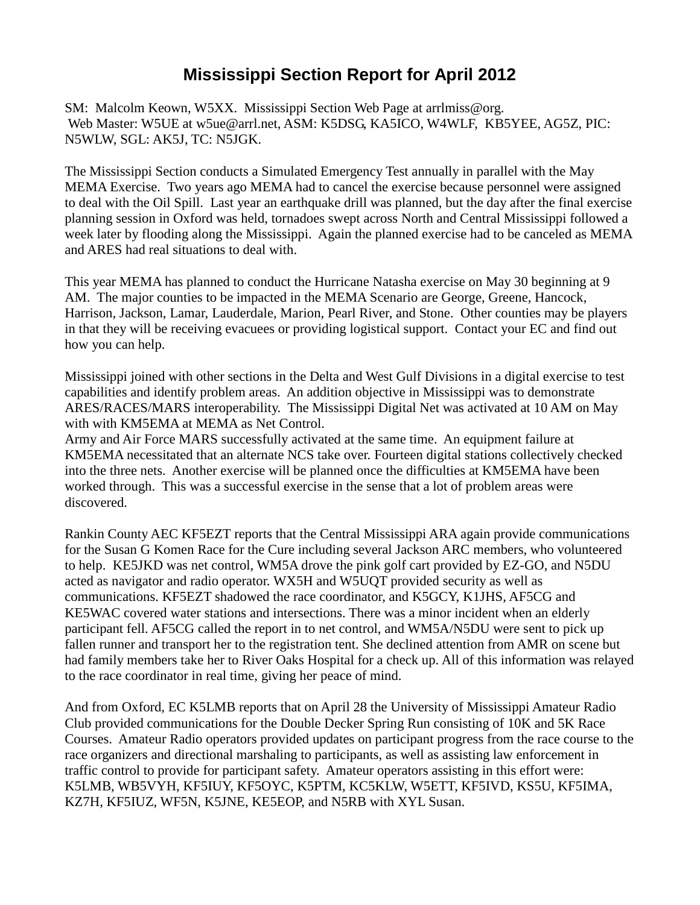## **Mississippi Section Report for April 2012**

SM: Malcolm Keown, W5XX. Mississippi Section Web Page at arrlmiss@org. Web Master: W5UE at w5ue@arrl.net, ASM: K5DSG, KA5ICO, W4WLF, KB5YEE, AG5Z, PIC: N5WLW, SGL: AK5J, TC: N5JGK.

The Mississippi Section conducts a Simulated Emergency Test annually in parallel with the May MEMA Exercise. Two years ago MEMA had to cancel the exercise because personnel were assigned to deal with the Oil Spill. Last year an earthquake drill was planned, but the day after the final exercise planning session in Oxford was held, tornadoes swept across North and Central Mississippi followed a week later by flooding along the Mississippi. Again the planned exercise had to be canceled as MEMA and ARES had real situations to deal with.

This year MEMA has planned to conduct the Hurricane Natasha exercise on May 30 beginning at 9 AM. The major counties to be impacted in the MEMA Scenario are George, Greene, Hancock, Harrison, Jackson, Lamar, Lauderdale, Marion, Pearl River, and Stone. Other counties may be players in that they will be receiving evacuees or providing logistical support. Contact your EC and find out how you can help.

Mississippi joined with other sections in the Delta and West Gulf Divisions in a digital exercise to test capabilities and identify problem areas. An addition objective in Mississippi was to demonstrate ARES/RACES/MARS interoperability. The Mississippi Digital Net was activated at 10 AM on May with with KM5EMA at MEMA as Net Control.

Army and Air Force MARS successfully activated at the same time. An equipment failure at KM5EMA necessitated that an alternate NCS take over. Fourteen digital stations collectively checked into the three nets. Another exercise will be planned once the difficulties at KM5EMA have been worked through. This was a successful exercise in the sense that a lot of problem areas were discovered.

Rankin County AEC KF5EZT reports that the Central Mississippi ARA again provide communications for the Susan G Komen Race for the Cure including several Jackson ARC members, who volunteered to help. KE5JKD was net control, WM5A drove the pink golf cart provided by EZ-GO, and N5DU acted as navigator and radio operator. WX5H and W5UQT provided security as well as communications. KF5EZT shadowed the race coordinator, and K5GCY, K1JHS, AF5CG and KE5WAC covered water stations and intersections. There was a minor incident when an elderly participant fell. AF5CG called the report in to net control, and WM5A/N5DU were sent to pick up fallen runner and transport her to the registration tent. She declined attention from AMR on scene but had family members take her to River Oaks Hospital for a check up. All of this information was relayed to the race coordinator in real time, giving her peace of mind.

And from Oxford, EC K5LMB reports that on April 28 the University of Mississippi Amateur Radio Club provided communications for the Double Decker Spring Run consisting of 10K and 5K Race Courses. Amateur Radio operators provided updates on participant progress from the race course to the race organizers and directional marshaling to participants, as well as assisting law enforcement in traffic control to provide for participant safety. Amateur operators assisting in this effort were: K5LMB, WB5VYH, KF5IUY, KF5OYC, K5PTM, KC5KLW, W5ETT, KF5IVD, KS5U, KF5IMA, KZ7H, KF5IUZ, WF5N, K5JNE, KE5EOP, and N5RB with XYL Susan.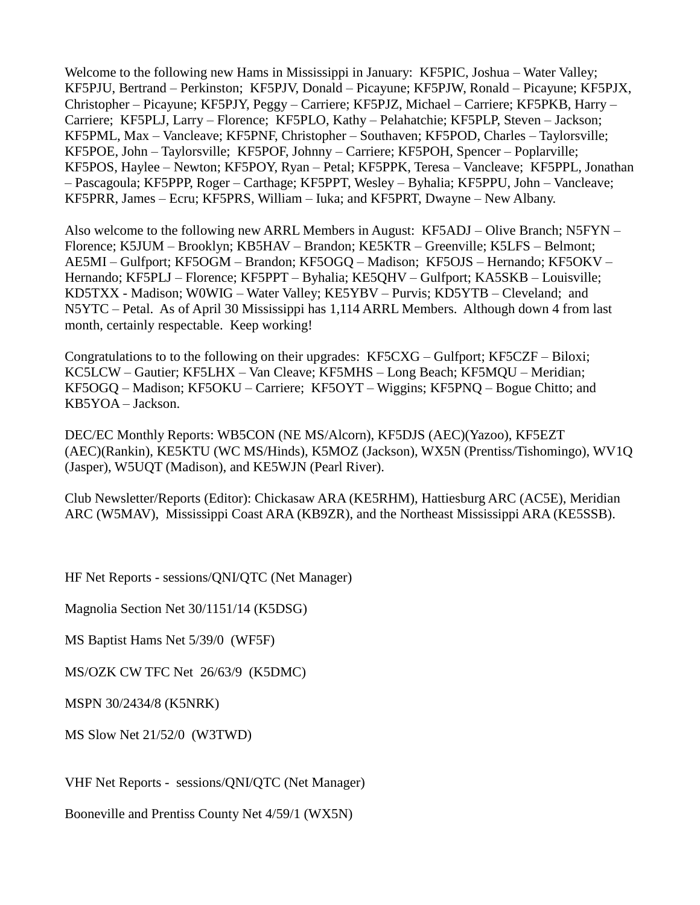Welcome to the following new Hams in Mississippi in January: KF5PIC, Joshua – Water Valley; KF5PJU, Bertrand – Perkinston; KF5PJV, Donald – Picayune; KF5PJW, Ronald – Picayune; KF5PJX, Christopher – Picayune; KF5PJY, Peggy – Carriere; KF5PJZ, Michael – Carriere; KF5PKB, Harry – Carriere; KF5PLJ, Larry – Florence; KF5PLO, Kathy – Pelahatchie; KF5PLP, Steven – Jackson; KF5PML, Max – Vancleave; KF5PNF, Christopher – Southaven; KF5POD, Charles – Taylorsville; KF5POE, John – Taylorsville; KF5POF, Johnny – Carriere; KF5POH, Spencer – Poplarville; KF5POS, Haylee – Newton; KF5POY, Ryan – Petal; KF5PPK, Teresa – Vancleave; KF5PPL, Jonathan – Pascagoula; KF5PPP, Roger – Carthage; KF5PPT, Wesley – Byhalia; KF5PPU, John – Vancleave; KF5PRR, James – Ecru; KF5PRS, William – Iuka; and KF5PRT, Dwayne – New Albany.

Also welcome to the following new ARRL Members in August: KF5ADJ – Olive Branch; N5FYN – Florence; K5JUM – Brooklyn; KB5HAV – Brandon; KE5KTR – Greenville; K5LFS – Belmont; AE5MI – Gulfport; KF5OGM – Brandon; KF5OGQ – Madison; KF5OJS – Hernando; KF5OKV – Hernando; KF5PLJ – Florence; KF5PPT – Byhalia; KE5QHV – Gulfport; KA5SKB – Louisville; KD5TXX - Madison; W0WIG – Water Valley; KE5YBV – Purvis; KD5YTB – Cleveland; and N5YTC – Petal. As of April 30 Mississippi has 1,114 ARRL Members. Although down 4 from last month, certainly respectable. Keep working!

Congratulations to to the following on their upgrades: KF5CXG – Gulfport; KF5CZF – Biloxi; KC5LCW – Gautier; KF5LHX – Van Cleave; KF5MHS – Long Beach; KF5MQU – Meridian; KF5OGQ – Madison; KF5OKU – Carriere; KF5OYT – Wiggins; KF5PNQ – Bogue Chitto; and KB5YOA – Jackson.

DEC/EC Monthly Reports: WB5CON (NE MS/Alcorn), KF5DJS (AEC)(Yazoo), KF5EZT (AEC)(Rankin), KE5KTU (WC MS/Hinds), K5MOZ (Jackson), WX5N (Prentiss/Tishomingo), WV1Q (Jasper), W5UQT (Madison), and KE5WJN (Pearl River).

Club Newsletter/Reports (Editor): Chickasaw ARA (KE5RHM), Hattiesburg ARC (AC5E), Meridian ARC (W5MAV), Mississippi Coast ARA (KB9ZR), and the Northeast Mississippi ARA (KE5SSB).

HF Net Reports - sessions/QNI/QTC (Net Manager)

Magnolia Section Net 30/1151/14 (K5DSG)

MS Baptist Hams Net 5/39/0 (WF5F)

MS/OZK CW TFC Net 26/63/9 (K5DMC)

MSPN 30/2434/8 (K5NRK)

MS Slow Net 21/52/0 (W3TWD)

VHF Net Reports - sessions/QNI/QTC (Net Manager)

Booneville and Prentiss County Net 4/59/1 (WX5N)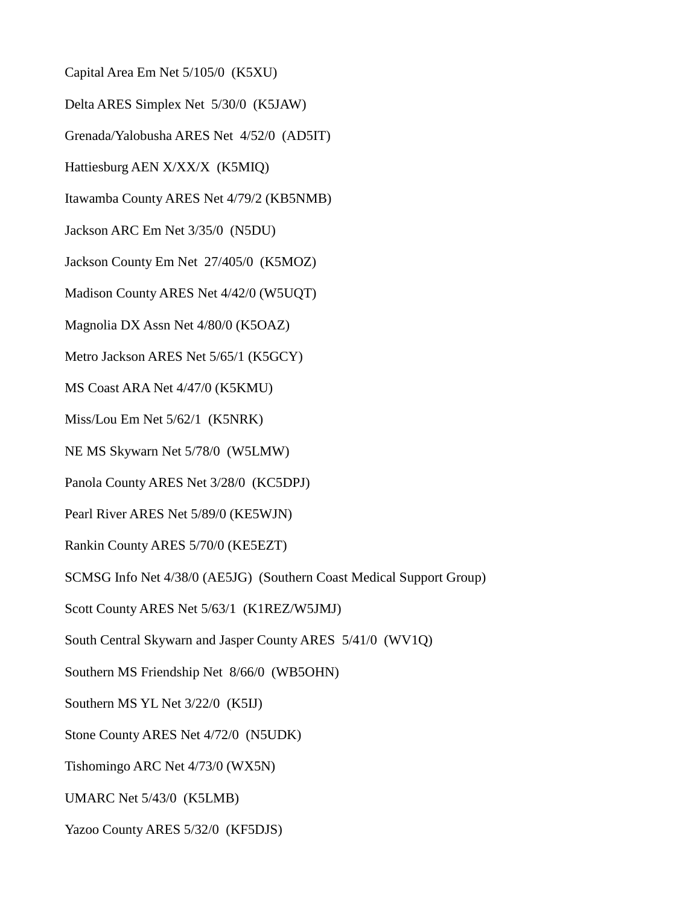Capital Area Em Net 5/105/0 (K5XU)

Delta ARES Simplex Net 5/30/0 (K5JAW)

Grenada/Yalobusha ARES Net 4/52/0 (AD5IT)

Hattiesburg AEN X/XX/X (K5MIQ)

Itawamba County ARES Net 4/79/2 (KB5NMB)

Jackson ARC Em Net 3/35/0 (N5DU)

Jackson County Em Net 27/405/0 (K5MOZ)

Madison County ARES Net 4/42/0 (W5UQT)

Magnolia DX Assn Net 4/80/0 (K5OAZ)

Metro Jackson ARES Net 5/65/1 (K5GCY)

MS Coast ARA Net 4/47/0 (K5KMU)

Miss/Lou Em Net 5/62/1 (K5NRK)

NE MS Skywarn Net 5/78/0 (W5LMW)

Panola County ARES Net 3/28/0 (KC5DPJ)

Pearl River ARES Net 5/89/0 (KE5WJN)

Rankin County ARES 5/70/0 (KE5EZT)

SCMSG Info Net 4/38/0 (AE5JG) (Southern Coast Medical Support Group)

Scott County ARES Net 5/63/1 (K1REZ/W5JMJ)

South Central Skywarn and Jasper County ARES 5/41/0 (WV1Q)

Southern MS Friendship Net 8/66/0 (WB5OHN)

Southern MS YL Net 3/22/0 (K5IJ)

Stone County ARES Net 4/72/0 (N5UDK)

Tishomingo ARC Net 4/73/0 (WX5N)

UMARC Net 5/43/0 (K5LMB)

Yazoo County ARES 5/32/0 (KF5DJS)